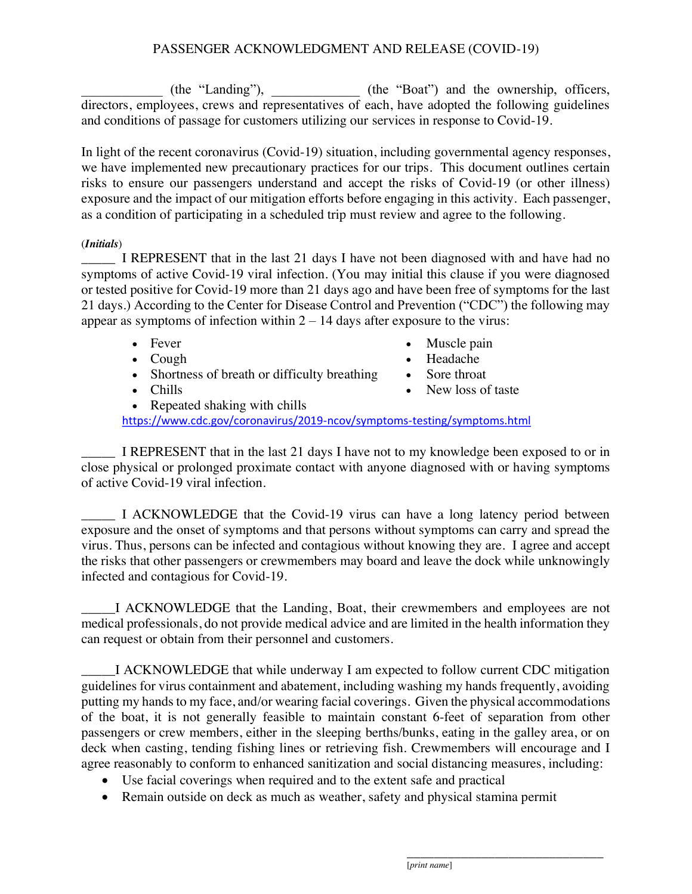## PASSENGER ACKNOWLEDGMENT AND RELEASE (COVID-19)

(the "Landing"), (the "Boat") and the ownership, officers, directors, employees, crews and representatives of each, have adopted the following guidelines and conditions of passage for customers utilizing our services in response to Covid-19.

In light of the recent coronavirus (Covid-19) situation, including governmental agency responses, we have implemented new precautionary practices for our trips. This document outlines certain risks to ensure our passengers understand and accept the risks of Covid-19 (or other illness) exposure and the impact of our mitigation efforts before engaging in this activity. Each passenger, as a condition of participating in a scheduled trip must review and agree to the following.

## (*Initials*)

I REPRESENT that in the last 21 days I have not been diagnosed with and have had no symptoms of active Covid-19 viral infection. (You may initial this clause if you were diagnosed or tested positive for Covid-19 more than 21 days ago and have been free of symptoms for the last 21 days.) According to the Center for Disease Control and Prevention ("CDC") the following may appear as symptoms of infection within  $2 - 14$  days after exposure to the virus:

- Fever
- Cough
- Shortness of breath or difficulty breathing
- Chills
- Muscle pain
- ! Headache
- Sore throat
- New loss of taste

• Repeated shaking with chills

https://www.cdc.gov/coronavirus/2019-ncov/symptoms-testing/symptoms.html

I REPRESENT that in the last 21 days I have not to my knowledge been exposed to or in close physical or prolonged proximate contact with anyone diagnosed with or having symptoms of active Covid-19 viral infection.

\_\_\_\_\_ I ACKNOWLEDGE that the Covid-19 virus can have a long latency period between exposure and the onset of symptoms and that persons without symptoms can carry and spread the virus. Thus, persons can be infected and contagious without knowing they are. I agree and accept the risks that other passengers or crewmembers may board and leave the dock while unknowingly infected and contagious for Covid-19.

\_\_\_\_\_I ACKNOWLEDGE that the Landing, Boat, their crewmembers and employees are not medical professionals, do not provide medical advice and are limited in the health information they can request or obtain from their personnel and customers.

I ACKNOWLEDGE that while underway I am expected to follow current CDC mitigation guidelines for virus containment and abatement, including washing my hands frequently, avoiding putting my hands to my face, and/or wearing facial coverings. Given the physical accommodations of the boat, it is not generally feasible to maintain constant 6-feet of separation from other passengers or crew members, either in the sleeping berths/bunks, eating in the galley area, or on deck when casting, tending fishing lines or retrieving fish. Crewmembers will encourage and I agree reasonably to conform to enhanced sanitization and social distancing measures, including:

- Use facial coverings when required and to the extent safe and practical
- Remain outside on deck as much as weather, safety and physical stamina permit